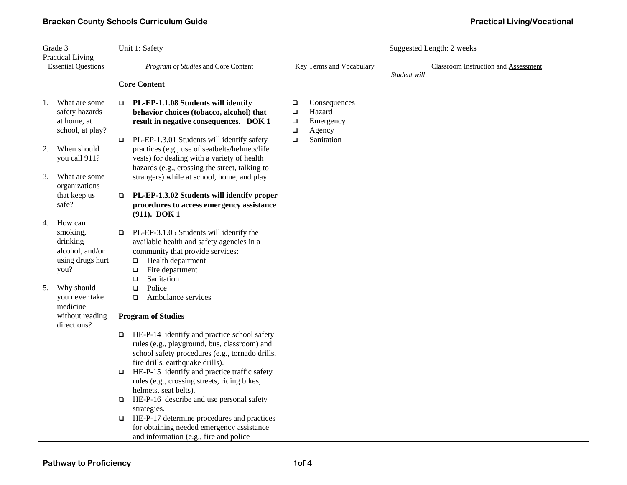| Grade 3                    |                                | Unit 1: Safety                                         |        |                          | Suggested Length: 2 weeks            |
|----------------------------|--------------------------------|--------------------------------------------------------|--------|--------------------------|--------------------------------------|
| <b>Practical Living</b>    |                                |                                                        |        |                          |                                      |
| <b>Essential Questions</b> |                                | Program of Studies and Core Content                    |        | Key Terms and Vocabulary | Classroom Instruction and Assessment |
|                            |                                |                                                        |        |                          | Student will:                        |
|                            |                                | <b>Core Content</b>                                    |        |                          |                                      |
| 1.                         | What are some                  | PL-EP-1.1.08 Students will identify                    | $\Box$ | Consequences             |                                      |
|                            | safety hazards                 | behavior choices (tobacco, alcohol) that               | $\Box$ | Hazard                   |                                      |
|                            | at home, at                    | result in negative consequences. DOK 1                 | $\Box$ | Emergency                |                                      |
|                            | school, at play?               |                                                        | $\Box$ | Agency                   |                                      |
|                            |                                | PL-EP-1.3.01 Students will identify safety             | $\Box$ | Sanitation               |                                      |
| 2.                         | When should                    | practices (e.g., use of seatbelts/helmets/life         |        |                          |                                      |
|                            | you call 911?                  | vests) for dealing with a variety of health            |        |                          |                                      |
|                            |                                | hazards (e.g., crossing the street, talking to         |        |                          |                                      |
| 3.                         | What are some                  | strangers) while at school, home, and play.            |        |                          |                                      |
|                            | organizations                  |                                                        |        |                          |                                      |
|                            | that keep us                   | PL-EP-1.3.02 Students will identify proper<br>□        |        |                          |                                      |
|                            | safe?                          | procedures to access emergency assistance              |        |                          |                                      |
|                            |                                | (911). DOK 1                                           |        |                          |                                      |
| 4.                         | How can                        |                                                        |        |                          |                                      |
|                            | smoking,                       | PL-EP-3.1.05 Students will identify the<br>□           |        |                          |                                      |
|                            | drinking                       | available health and safety agencies in a              |        |                          |                                      |
|                            | alcohol, and/or                | community that provide services:                       |        |                          |                                      |
|                            | using drugs hurt               | Health department<br>$\Box$                            |        |                          |                                      |
|                            | you?                           | Fire department<br>$\Box$                              |        |                          |                                      |
|                            |                                | Sanitation<br>$\Box$                                   |        |                          |                                      |
| 5.                         | Why should                     | Police<br>$\Box$                                       |        |                          |                                      |
|                            | you never take                 | Ambulance services<br>$\Box$                           |        |                          |                                      |
|                            | medicine                       |                                                        |        |                          |                                      |
|                            | without reading<br>directions? | <b>Program of Studies</b>                              |        |                          |                                      |
|                            |                                | HE-P-14 identify and practice school safety            |        |                          |                                      |
|                            |                                | rules (e.g., playground, bus, classroom) and           |        |                          |                                      |
|                            |                                | school safety procedures (e.g., tornado drills,        |        |                          |                                      |
|                            |                                | fire drills, earthquake drills).                       |        |                          |                                      |
|                            |                                | HE-P-15 identify and practice traffic safety<br>$\Box$ |        |                          |                                      |
|                            |                                | rules (e.g., crossing streets, riding bikes,           |        |                          |                                      |
|                            |                                | helmets, seat belts).                                  |        |                          |                                      |
|                            |                                | HE-P-16 describe and use personal safety<br>□          |        |                          |                                      |
|                            |                                | strategies.                                            |        |                          |                                      |
|                            |                                | HE-P-17 determine procedures and practices<br>□        |        |                          |                                      |
|                            |                                | for obtaining needed emergency assistance              |        |                          |                                      |
|                            |                                | and information (e.g., fire and police                 |        |                          |                                      |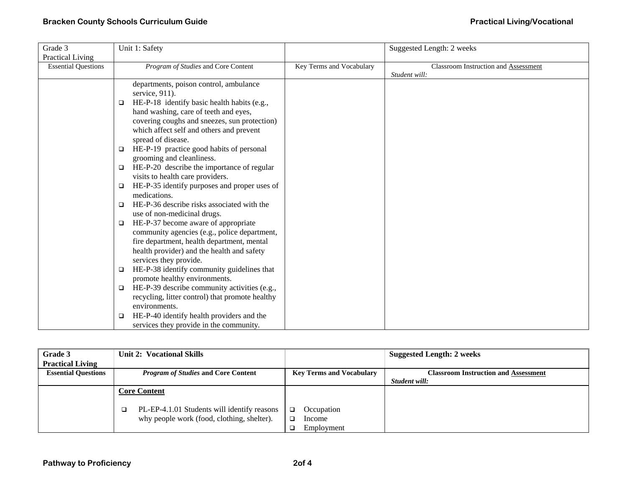| Grade 3                    | Unit 1: Safety                                       |                          | Suggested Length: 2 weeks                   |
|----------------------------|------------------------------------------------------|--------------------------|---------------------------------------------|
| <b>Practical Living</b>    |                                                      |                          |                                             |
| <b>Essential Questions</b> | Program of Studies and Core Content                  | Key Terms and Vocabulary | <b>Classroom Instruction and Assessment</b> |
|                            |                                                      |                          | Student will:                               |
|                            | departments, poison control, ambulance               |                          |                                             |
|                            | service, 911).                                       |                          |                                             |
|                            | HE-P-18 identify basic health habits (e.g.,<br>□     |                          |                                             |
|                            | hand washing, care of teeth and eyes,                |                          |                                             |
|                            | covering coughs and sneezes, sun protection)         |                          |                                             |
|                            | which affect self and others and prevent             |                          |                                             |
|                            | spread of disease.                                   |                          |                                             |
|                            | HE-P-19 practice good habits of personal<br>$\Box$   |                          |                                             |
|                            | grooming and cleanliness.                            |                          |                                             |
|                            | HE-P-20 describe the importance of regular<br>$\Box$ |                          |                                             |
|                            | visits to health care providers.                     |                          |                                             |
|                            | HE-P-35 identify purposes and proper uses of<br>□    |                          |                                             |
|                            | medications.                                         |                          |                                             |
|                            | HE-P-36 describe risks associated with the<br>$\Box$ |                          |                                             |
|                            | use of non-medicinal drugs.                          |                          |                                             |
|                            | HE-P-37 become aware of appropriate<br>□             |                          |                                             |
|                            | community agencies (e.g., police department,         |                          |                                             |
|                            | fire department, health department, mental           |                          |                                             |
|                            | health provider) and the health and safety           |                          |                                             |
|                            | services they provide.                               |                          |                                             |
|                            | HE-P-38 identify community guidelines that<br>□      |                          |                                             |
|                            | promote healthy environments.                        |                          |                                             |
|                            | HE-P-39 describe community activities (e.g.,<br>□    |                          |                                             |
|                            | recycling, litter control) that promote healthy      |                          |                                             |
|                            | environments.                                        |                          |                                             |
|                            | HE-P-40 identify health providers and the<br>□       |                          |                                             |
|                            | services they provide in the community.              |                          |                                             |

| Grade 3                    | <b>Unit 2: Vocational Skills</b>            |                 | <b>Suggested Length: 2 weeks</b>            |
|----------------------------|---------------------------------------------|-----------------|---------------------------------------------|
| <b>Practical Living</b>    |                                             |                 |                                             |
| <b>Essential Questions</b> | <b>Program of Studies and Core Content</b>  |                 | <b>Classroom Instruction and Assessment</b> |
|                            |                                             |                 | Student will:                               |
|                            | <b>Core Content</b>                         |                 |                                             |
|                            |                                             |                 |                                             |
|                            | PL-EP-4.1.01 Students will identify reasons | Occupation<br>□ |                                             |
|                            | why people work (food, clothing, shelter).  | Income          |                                             |
|                            |                                             | Employment      |                                             |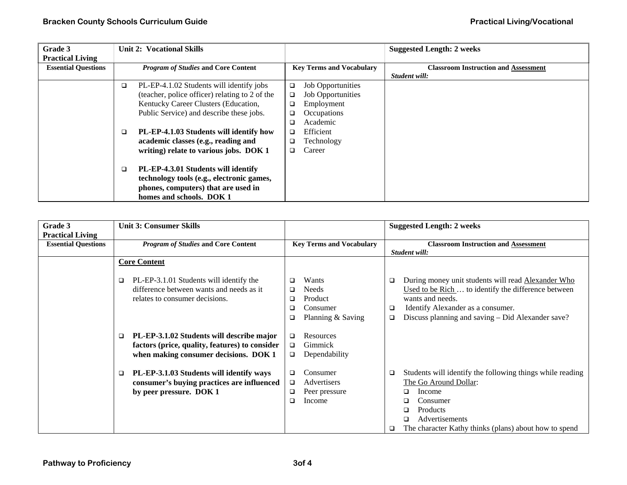| Grade 3<br><b>Practical Living</b> |                                            | <b>Unit 2: Vocational Skills</b>                                                                                                                    |        |                                 | <b>Suggested Length: 2 weeks</b>            |
|------------------------------------|--------------------------------------------|-----------------------------------------------------------------------------------------------------------------------------------------------------|--------|---------------------------------|---------------------------------------------|
| <b>Essential Questions</b>         | <b>Program of Studies and Core Content</b> |                                                                                                                                                     |        | <b>Key Terms and Vocabulary</b> | <b>Classroom Instruction and Assessment</b> |
|                                    |                                            |                                                                                                                                                     |        |                                 | Student will:                               |
|                                    | ▫                                          | PL-EP-4.1.02 Students will identify jobs                                                                                                            | $\Box$ | <b>Job Opportunities</b>        |                                             |
|                                    |                                            | (teacher, police officer) relating to 2 of the                                                                                                      | $\Box$ | <b>Job Opportunities</b>        |                                             |
|                                    |                                            | Kentucky Career Clusters (Education,                                                                                                                | ❏      | Employment                      |                                             |
|                                    |                                            | Public Service) and describe these jobs.                                                                                                            | □      | Occupations                     |                                             |
|                                    |                                            |                                                                                                                                                     | ❏      | Academic                        |                                             |
|                                    | $\Box$                                     | PL-EP-4.1.03 Students will identify how                                                                                                             | ❏      | Efficient                       |                                             |
|                                    |                                            | academic classes (e.g., reading and                                                                                                                 | □      | Technology                      |                                             |
|                                    |                                            | writing) relate to various jobs. DOK 1                                                                                                              | □      | Career                          |                                             |
|                                    | □                                          | PL-EP-4.3.01 Students will identify<br>technology tools (e.g., electronic games,<br>phones, computers) that are used in<br>homes and schools. DOK 1 |        |                                 |                                             |

| Grade 3                    | <b>Unit 3: Consumer Skills</b>                                                                                                                 |                                                                                          | <b>Suggested Length: 2 weeks</b>                                                                                                                                                                                                       |  |
|----------------------------|------------------------------------------------------------------------------------------------------------------------------------------------|------------------------------------------------------------------------------------------|----------------------------------------------------------------------------------------------------------------------------------------------------------------------------------------------------------------------------------------|--|
| <b>Practical Living</b>    |                                                                                                                                                |                                                                                          |                                                                                                                                                                                                                                        |  |
| <b>Essential Questions</b> | <b>Program of Studies and Core Content</b>                                                                                                     | <b>Key Terms and Vocabulary</b>                                                          | <b>Classroom Instruction and Assessment</b>                                                                                                                                                                                            |  |
|                            |                                                                                                                                                |                                                                                          | Student will:                                                                                                                                                                                                                          |  |
|                            | <b>Core Content</b>                                                                                                                            |                                                                                          |                                                                                                                                                                                                                                        |  |
|                            | PL-EP-3.1.01 Students will identify the<br>□<br>difference between wants and needs as it<br>relates to consumer decisions.                     | Wants<br>$\Box$<br>Needs<br>❏<br>Product<br>❏<br>Consumer<br>◻<br>Planning & Saving<br>❏ | During money unit students will read Alexander Who<br>□<br>Used to be Rich  to identify the difference between<br>wants and needs.<br>Identify Alexander as a consumer.<br>□<br>Discuss planning and saving – Did Alexander save?<br>□ |  |
|                            | PL-EP-3.1.02 Students will describe major<br>$\Box$<br>factors (price, quality, features) to consider<br>when making consumer decisions. DOK 1 | Resources<br>□<br><b>Gimmick</b><br>$\Box$<br>Dependability<br>$\Box$                    |                                                                                                                                                                                                                                        |  |
|                            | PL-EP-3.1.03 Students will identify ways<br>$\Box$<br>consumer's buying practices are influenced<br>by peer pressure. DOK 1                    | Consumer<br>❏<br>Advertisers<br>□<br>Peer pressure<br>$\Box$<br>Income<br>❏              | Students will identify the following things while reading<br>❏<br>The Go Around Dollar:<br>Income<br>Consumer<br>Products<br>Advertisements<br>The character Kathy thinks (plans) about how to spend<br>o                              |  |